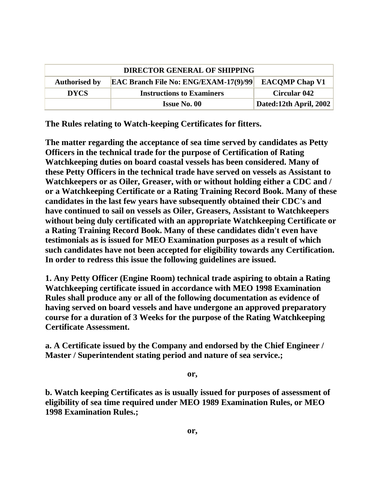| <b>DIRECTOR GENERAL OF SHIPPING</b> |                                              |                        |
|-------------------------------------|----------------------------------------------|------------------------|
| <b>Authorised by</b>                | <b>EAC Branch File No: ENG/EXAM-17(9)/99</b> | <b>EACOMP Chap V1</b>  |
| <b>DYCS</b>                         | <b>Instructions to Examiners</b>             | <b>Circular 042</b>    |
|                                     | <b>Issue No. 00</b>                          | Dated:12th April, 2002 |

**The Rules relating to Watch-keeping Certificates for fitters.**

**The matter regarding the acceptance of sea time served by candidates as Petty Officers in the technical trade for the purpose of Certification of Rating Watchkeeping duties on board coastal vessels has been considered. Many of these Petty Officers in the technical trade have served on vessels as Assistant to Watchkeepers or as Oiler, Greaser, with or without holding either a CDC and / or a Watchkeeping Certificate or a Rating Training Record Book. Many of these candidates in the last few years have subsequently obtained their CDC's and have continued to sail on vessels as Oiler, Greasers, Assistant to Watchkeepers without being duly certificated with an appropriate Watchkeeping Certificate or a Rating Training Record Book. Many of these candidates didn't even have testimonials as is issued for MEO Examination purposes as a result of which such candidates have not been accepted for eligibility towards any Certification. In order to redress this issue the following guidelines are issued.**

**1. Any Petty Officer (Engine Room) technical trade aspiring to obtain a Rating Watchkeeping certificate issued in accordance with MEO 1998 Examination Rules shall produce any or all of the following documentation as evidence of having served on board vessels and have undergone an approved preparatory course for a duration of 3 Weeks for the purpose of the Rating Watchkeeping Certificate Assessment.**

**a. A Certificate issued by the Company and endorsed by the Chief Engineer / Master / Superintendent stating period and nature of sea service.;**

## **or,**

**b. Watch keeping Certificates as is usually issued for purposes of assessment of eligibility of sea time required under MEO 1989 Examination Rules, or MEO 1998 Examination Rules.;**